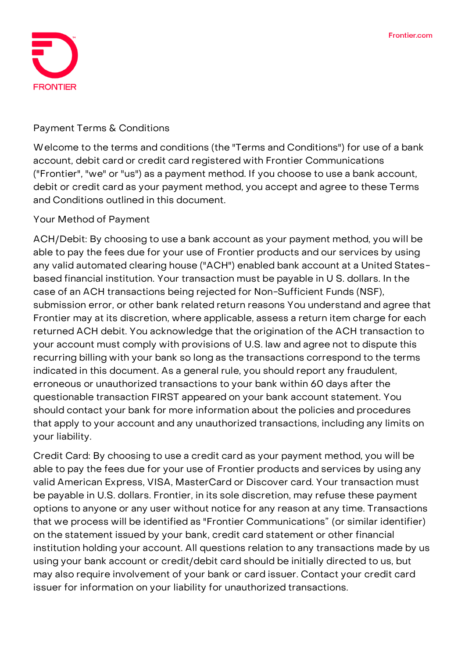

## **Payment Terms & Conditions**

Welcome to the terms and conditions (the "Terms and Conditions") for use of a bank account, debit card or credit card registered with Frontier Communications ("Frontier", "we" or "us") as a payment method. If you choose to use a bank account, debit or credit card as your payment method, you accept and agree to these Terms and Conditions outlined in this document.

## **Your Method of Payment**

**ACH/Debit:** By choosing to use a bank account as your payment method, you will be able to pay the fees due for your use of Frontier products and our services by using any valid automated clearing house ("ACH") enabled bank account at a United Statesbased financial institution. Your transaction must be payable in U S. dollars. In the case of an ACH transactions being rejected for Non-Sufficient Funds (NSF), submission error, or other bank related return reasons You understand and agree that Frontier may at its discretion, where applicable, assess a return item charge for each returned ACH debit. You acknowledge that the origination of the ACH transaction to your account must comply with provisions of U.S. law and agree not to dispute this recurring billing with your bank so long as the transactions correspond to the terms indicated in this document. As a general rule, you should report any fraudulent, erroneous or unauthorized transactions to your bank within 60 days after the questionable transaction FIRST appeared on your bank account statement. You should contact your bank for more information about the policies and procedures that apply to your account and any unauthorized transactions, including any limits on your liability.

**Credit Card:** By choosing to use a credit card as your payment method, you will be able to pay the fees due for your use of Frontier products and services by using any valid American Express, VISA, MasterCard or Discover card. Your transaction must be payable in U.S. dollars. Frontier, in its sole discretion, may refuse these payment options to anyone or any user without notice for any reason at any time. Transactions that we process will be identified as "Frontier Communications" (or similar identifier) on the statement issued by your bank, credit card statement or other financial institution holding your account. All questions relation to any transactions made by us using your bank account or credit/debit card should be initially directed to us, but may also require involvement of your bank or card issuer. Contact your credit card issuer for information on your liability for unauthorized transactions.